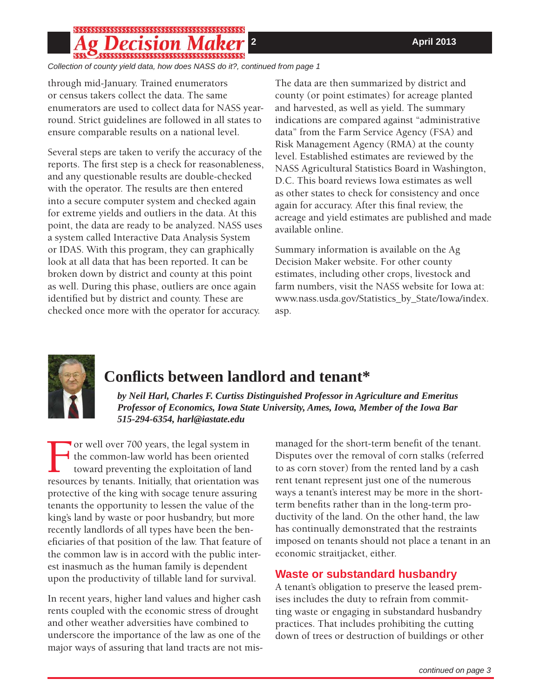## \$\$\$\$\$\$\$\$\$\$\$\$\$\$\$\$\$\$\$\$\$\$\$\$\$\$\$\$\$\$\$\$\$\$\$\$\$

*Collection of county yield data, how does NASS do it?, continued from page 1*

through mid-January. Trained enumerators or census takers collect the data. The same enumerators are used to collect data for NASS yearround. Strict guidelines are followed in all states to ensure comparable results on a national level.

Several steps are taken to verify the accuracy of the reports. The first step is a check for reasonableness, and any questionable results are double-checked with the operator. The results are then entered into a secure computer system and checked again for extreme yields and outliers in the data. At this point, the data are ready to be analyzed. NASS uses a system called Interactive Data Analysis System or IDAS. With this program, they can graphically look at all data that has been reported. It can be broken down by district and county at this point as well. During this phase, outliers are once again identified but by district and county. These are checked once more with the operator for accuracy.

The data are then summarized by district and county (or point estimates) for acreage planted and harvested, as well as yield. The summary indications are compared against "administrative data" from the Farm Service Agency (FSA) and Risk Management Agency (RMA) at the county level. Established estimates are reviewed by the NASS Agricultural Statistics Board in Washington, D.C. This board reviews Iowa estimates as well as other states to check for consistency and once again for accuracy. After this final review, the acreage and yield estimates are published and made available online.

Summary information is available on the Ag Decision Maker website. For other county estimates, including other crops, livestock and farm numbers, visit the NASS website for Iowa at: www.nass.usda.gov/Statistics\_by\_State/Iowa/index. asp.



# **Confl icts between landlord and tenant\***

*by Neil Harl, Charles F. Curtiss Distinguished Professor in Agriculture and Emeritus Professor of Economics, Iowa State University, Ames, Iowa, Member of the Iowa Bar 515-294-6354, harl@iastate.edu* 

For well over 700 years, the legal system in<br>the common-law world has been oriented<br>toward preventing the exploitation of land<br>resources by tenants. Initially, that orientation was the common-law world has been oriented toward preventing the exploitation of land resources by tenants. Initially, that orientation was protective of the king with socage tenure assuring tenants the opportunity to lessen the value of the king's land by waste or poor husbandry, but more recently landlords of all types have been the beneficiaries of that position of the law. That feature of the common law is in accord with the public interest inasmuch as the human family is dependent upon the productivity of tillable land for survival.

In recent years, higher land values and higher cash rents coupled with the economic stress of drought and other weather adversities have combined to underscore the importance of the law as one of the major ways of assuring that land tracts are not mismanaged for the short-term benefit of the tenant. Disputes over the removal of corn stalks (referred to as corn stover) from the rented land by a cash rent tenant represent just one of the numerous ways a tenant's interest may be more in the shortterm benefits rather than in the long-term productivity of the land. On the other hand, the law has continually demonstrated that the restraints imposed on tenants should not place a tenant in an economic straitjacket, either.

### **Waste or substandard husbandry**

A tenant's obligation to preserve the leased premises includes the duty to refrain from committing waste or engaging in substandard husbandry practices. That includes prohibiting the cutting down of trees or destruction of buildings or other